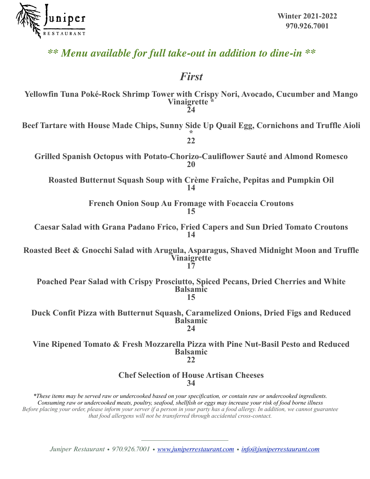

## *\*\* Menu available for full take-out in addition to dine-in \*\**

### *First*

**Yellowfin Tuna Poké-Rock Shrimp Tower with Crispy Nori, Avocado, Cucumber and Mango Vinaigrette \* 24 Beef Tartare with House Made Chips, Sunny Side Up Quail Egg, Cornichons and Truffle Aioli \* 22 Grilled Spanish Octopus with Potato-Chorizo-Cauliflower Sauté and Almond Romesco 20 Roasted Butternut Squash Soup with Crème Fraîche, Pepitas and Pumpkin Oil 14 French Onion Soup Au Fromage with Focaccia Croutons 15 Caesar Salad with Grana Padano Frico, Fried Capers and Sun Dried Tomato Croutons 14 Roasted Beet & Gnocchi Salad with Arugula, Asparagus, Shaved Midnight Moon and Truffle Vinaigrette 17 Poached Pear Salad with Crispy Prosciutto, Spiced Pecans, Dried Cherries and White Balsamic 15 Duck Confit Pizza with Butternut Squash, Caramelized Onions, Dried Figs and Reduced Balsamic 24 Vine Ripened Tomato & Fresh Mozzarella Pizza with Pine Nut-Basil Pesto and Reduced Balsamic 22 Chef Selection of House Artisan Cheeses 34** *\*These items may be served raw or undercooked based on your specification, or contain raw or undercooked ingredients. Consuming raw or undercooked meats, poultry, seafood, shellfish or eggs may increase your risk of food borne illness Before placing your order, please inform your server if a person in your party has a food allergy. In addition, we cannot guarantee that food allergens will not be transferred through accidental cross-contact.*

*Juniper Restaurant • 970.926.7001 • [www.juniperrestaurant.com](http://juniperrestaurant.com) • [info@juniperrestaurant.com](mailto:info@juniperrestaurant.com?subject=)*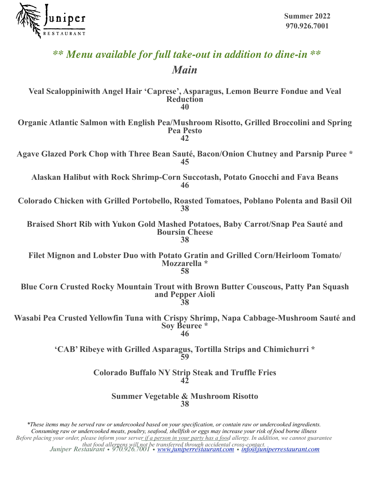

# *\*\* Menu available for full take-out in addition to dine-in \*\* Main*

**Veal Scaloppiniwith Angel Hair 'Caprese', Asparagus, Lemon Beurre Fondue and Veal Reduction 40 Organic Atlantic Salmon with English Pea/Mushroom Risotto, Grilled Broccolini and Spring Pea Pesto 42 Agave Glazed Pork Chop with Three Bean Sauté, Bacon/Onion Chutney and Parsnip Puree \* 45 Alaskan Halibut with Rock Shrimp-Corn Succotash, Potato Gnocchi and Fava Beans 46 Colorado Chicken with Grilled Portobello, Roasted Tomatoes, Poblano Polenta and Basil Oil 38 Braised Short Rib with Yukon Gold Mashed Potatoes, Baby Carrot/Snap Pea Sauté and Boursin Cheese 38 Filet Mignon and Lobster Duo with Potato Gratin and Grilled Corn/Heirloom Tomato/ Mozzarella \* 58 Blue Corn Crusted Rocky Mountain Trout with Brown Butter Couscous, Patty Pan Squash and Pepper Aioli 38 Wasabi Pea Crusted Yellowfin Tuna with Crispy Shrimp, Napa Cabbage-Mushroom Sauté and Soy Beuree \* 46 'CAB' Ribeye with Grilled Asparagus, Tortilla Strips and Chimichurri \* 59 Colorado Buffalo NY Strip Steak and Truffle Fries 42 Summer Vegetable & Mushroom Risotto**

**38**

*Juniper Restaurant • 970.926.7001 • [www.juniperrestaurant.com](http://juniperrestaurant.com) • [info@juniperrestaurant.com](mailto:info@juniperrestaurant.com?subject=) that food allergens will not be transferred through accidental cross-contact. \*These items may be served raw or undercooked based on your specification, or contain raw or undercooked ingredients. Consuming raw or undercooked meats, poultry, seafood, shellfish or eggs may increase your risk of food borne illness Before placing your order, please inform your server if a person in your party has a food allergy. In addition, we cannot guarantee*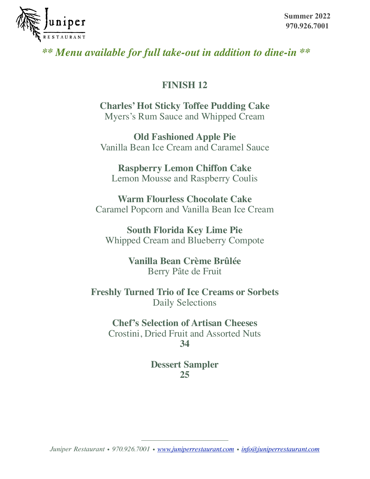

### *\*\* Menu available for full take-out in addition to dine-in \*\**

#### **FINISH 12**

**Charles' Hot Sticky Toffee Pudding Cake** Myers's Rum Sauce and Whipped Cream

**Old Fashioned Apple Pie** Vanilla Bean Ice Cream and Caramel Sauce

**Raspberry Lemon Chiffon Cake** Lemon Mousse and Raspberry Coulis

**Warm Flourless Chocolate Cake** Caramel Popcorn and Vanilla Bean Ice Cream

**South Florida Key Lime Pie** Whipped Cream and Blueberry Compote

> **Vanilla Bean Crème Brûlée** Berry Pâte de Fruit

**Freshly Turned Trio of Ice Creams or Sorbets** Daily Selections

**Chef's Selection of Artisan Cheeses**

Crostini, Dried Fruit and Assorted Nuts **34**

> **Dessert Sampler 25**